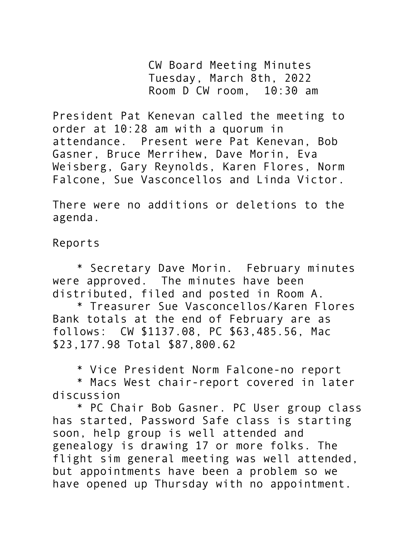CW Board Meeting Minutes Tuesday, March 8th, 2022 Room D CW room, 10:30 am

President Pat Kenevan called the meeting to order at 10:28 am with a quorum in attendance. Present were Pat Kenevan, Bob Gasner, Bruce Merrihew, Dave Morin, Eva Weisberg, Gary Reynolds, Karen Flores, Norm Falcone, Sue Vasconcellos and Linda Victor.

There were no additions or deletions to the agenda.

Reports

\* Secretary Dave Morin. February minutes were approved. The minutes have been distributed, filed and posted in Room A.

\* Treasurer Sue Vasconcellos/Karen Flores Bank totals at the end of February are as follows: CW \$1137.08, PC \$63,485.56, Mac \$23,177.98 Total \$87,800.62

\* Vice President Norm Falcone-no report

\* Macs West chair-report covered in later discussion

\* PC Chair Bob Gasner. PC User group class has started, Password Safe class is starting soon, help group is well attended and genealogy is drawing 17 or more folks. The flight sim general meeting was well attended, but appointments have been a problem so we have opened up Thursday with no appointment.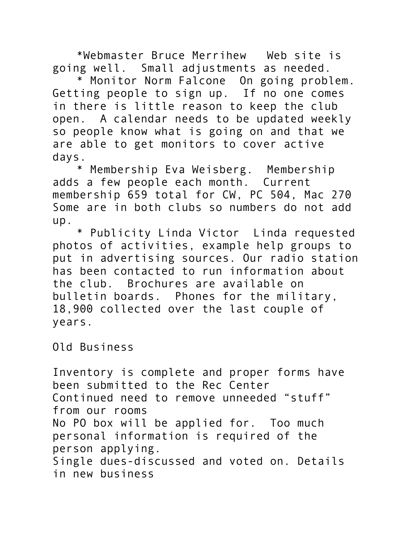\*Webmaster Bruce Merrihew Web site is going well. Small adjustments as needed.

\* Monitor Norm Falcone On going problem. Getting people to sign up. If no one comes in there is little reason to keep the club open. A calendar needs to be updated weekly so people know what is going on and that we are able to get monitors to cover active days.

\* Membership Eva Weisberg. Membership adds a few people each month. Current membership 659 total for CW, PC 504, Mac 270 Some are in both clubs so numbers do not add up.

\* Publicity Linda Victor Linda requested photos of activities, example help groups to put in advertising sources. Our radio station has been contacted to run information about the club. Brochures are available on bulletin boards. Phones for the military, 18,900 collected over the last couple of years.

Old Business

Inventory is complete and proper forms have been submitted to the Rec Center Continued need to remove unneeded "stuff" from our rooms No PO box will be applied for. Too much personal information is required of the person applying. Single dues-discussed and voted on. Details in new business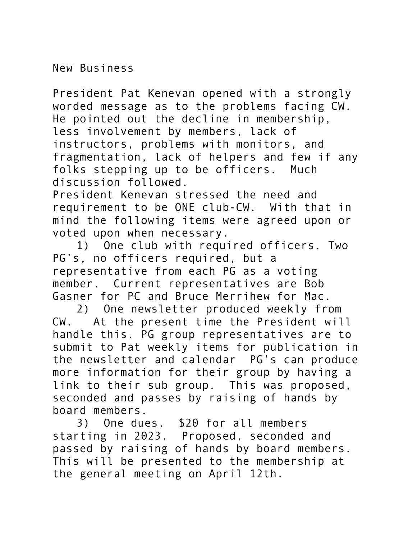New Business

President Pat Kenevan opened with a strongly worded message as to the problems facing CW. He pointed out the decline in membership, less involvement by members, lack of instructors, problems with monitors, and fragmentation, lack of helpers and few if any folks stepping up to be officers. Much discussion followed.

President Kenevan stressed the need and requirement to be ONE club-CW. With that in mind the following items were agreed upon or voted upon when necessary.

1) One club with required officers. Two PG's, no officers required, but a representative from each PG as a voting member. Current representatives are Bob Gasner for PC and Bruce Merrihew for Mac.

2) One newsletter produced weekly from CW. At the present time the President will handle this. PG group representatives are to submit to Pat weekly items for publication in the newsletter and calendar PG's can produce more information for their group by having a link to their sub group. This was proposed, seconded and passes by raising of hands by board members.

3) One dues. \$20 for all members starting in 2023. Proposed, seconded and passed by raising of hands by board members. This will be presented to the membership at the general meeting on April 12th.